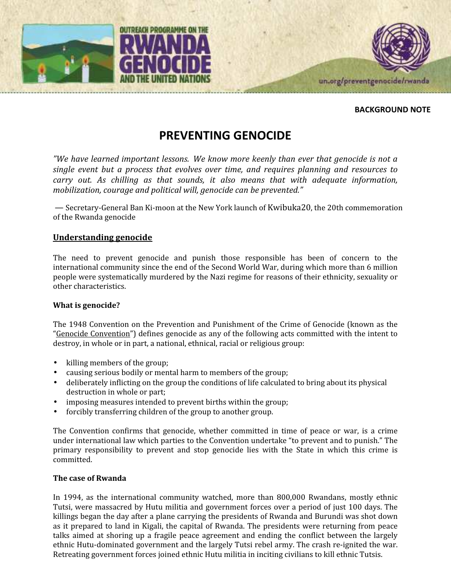



#### BACKGROUND NOTE

# PREVENTING GENOCIDE

"We have learned important lessons. We know more keenly than ever that genocide is not a single event but a process that evolves over time, and requires planning and resources to carry out. As chilling as that sounds, it also means that with adequate information, mobilization, courage and political will, genocide can be prevented."

— Secretary-General Ban Ki-moon at the New York launch of Kwibuka20, the 20th commemoration of the Rwanda genocide

#### Understanding genocide

The need to prevent genocide and punish those responsible has been of concern to the international community since the end of the Second World War, during which more than 6 million people were systematically murdered by the Nazi regime for reasons of their ethnicity, sexuality or other characteristics.

#### What is genocide?

The 1948 Convention on the Prevention and Punishment of the Crime of Genocide (known as the "Genocide Convention") defines genocide as any of the following acts committed with the intent to destroy, in whole or in part, a national, ethnical, racial or religious group:

- killing members of the group;
- causing serious bodily or mental harm to members of the group;
- deliberately inflicting on the group the conditions of life calculated to bring about its physical destruction in whole or part;
- imposing measures intended to prevent births within the group;
- forcibly transferring children of the group to another group.

The Convention confirms that genocide, whether committed in time of peace or war, is a crime under international law which parties to the Convention undertake "to prevent and to punish." The primary responsibility to prevent and stop genocide lies with the State in which this crime is committed.

#### The case of Rwanda

In 1994, as the international community watched, more than 800,000 Rwandans, mostly ethnic Tutsi, were massacred by Hutu militia and government forces over a period of just 100 days. The killings began the day after a plane carrying the presidents of Rwanda and Burundi was shot down as it prepared to land in Kigali, the capital of Rwanda. The presidents were returning from peace talks aimed at shoring up a fragile peace agreement and ending the conflict between the largely ethnic Hutu-dominated government and the largely Tutsi rebel army. The crash re-ignited the war. Retreating government forces joined ethnic Hutu militia in inciting civilians to kill ethnic Tutsis.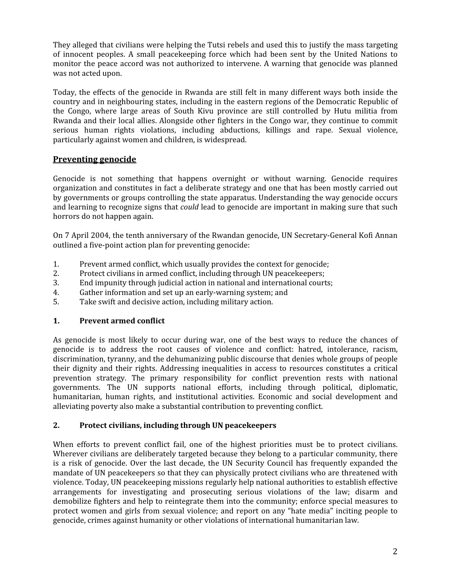They alleged that civilians were helping the Tutsi rebels and used this to justify the mass targeting of innocent peoples. A small peacekeeping force which had been sent by the United Nations to monitor the peace accord was not authorized to intervene. A warning that genocide was planned was not acted upon.

Today, the effects of the genocide in Rwanda are still felt in many different ways both inside the country and in neighbouring states, including in the eastern regions of the Democratic Republic of the Congo, where large areas of South Kivu province are still controlled by Hutu militia from Rwanda and their local allies. Alongside other fighters in the Congo war, they continue to commit serious human rights violations, including abductions, killings and rape. Sexual violence, particularly against women and children, is widespread.

# Preventing genocide

Genocide is not something that happens overnight or without warning. Genocide requires organization and constitutes in fact a deliberate strategy and one that has been mostly carried out by governments or groups controlling the state apparatus. Understanding the way genocide occurs and learning to recognize signs that could lead to genocide are important in making sure that such horrors do not happen again.

On 7 April 2004, the tenth anniversary of the Rwandan genocide, UN Secretary-General Kofi Annan outlined a five-point action plan for preventing genocide:

- 1. Prevent armed conflict, which usually provides the context for genocide;
- 2. Protect civilians in armed conflict, including through UN peacekeepers;
- 3. End impunity through judicial action in national and international courts;
- 4. Gather information and set up an early-warning system; and
- 5. Take swift and decisive action, including military action.

#### 1. Prevent armed conflict

As genocide is most likely to occur during war, one of the best ways to reduce the chances of genocide is to address the root causes of violence and conflict: hatred, intolerance, racism, discrimination, tyranny, and the dehumanizing public discourse that denies whole groups of people their dignity and their rights. Addressing inequalities in access to resources constitutes a critical prevention strategy. The primary responsibility for conflict prevention rests with national governments. The UN supports national efforts, including through political, diplomatic, humanitarian, human rights, and institutional activities. Economic and social development and alleviating poverty also make a substantial contribution to preventing conflict.

## 2. Protect civilians, including through UN peacekeepers

When efforts to prevent conflict fail, one of the highest priorities must be to protect civilians. Wherever civilians are deliberately targeted because they belong to a particular community, there is a risk of genocide. Over the last decade, the UN Security Council has frequently expanded the mandate of UN peacekeepers so that they can physically protect civilians who are threatened with violence. Today, UN peacekeeping missions regularly help national authorities to establish effective arrangements for investigating and prosecuting serious violations of the law; disarm and demobilize fighters and help to reintegrate them into the community; enforce special measures to protect women and girls from sexual violence; and report on any "hate media" inciting people to genocide, crimes against humanity or other violations of international humanitarian law.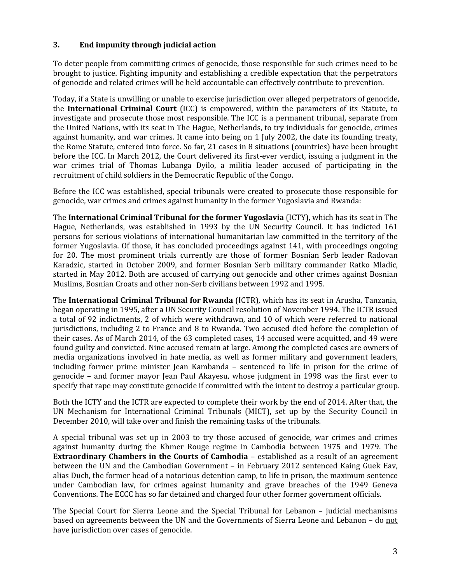## 3. End impunity through judicial action

To deter people from committing crimes of genocide, those responsible for such crimes need to be brought to justice. Fighting impunity and establishing a credible expectation that the perpetrators of genocide and related crimes will be held accountable can effectively contribute to prevention.

Today, if a State is unwilling or unable to exercise jurisdiction over alleged perpetrators of genocide, the **International Criminal Court** (ICC) is empowered, within the parameters of its Statute, to investigate and prosecute those most responsible. The ICC is a permanent tribunal, separate from the United Nations, with its seat in The Hague, Netherlands, to try individuals for genocide, crimes against humanity, and war crimes. It came into being on 1 July 2002, the date its founding treaty, the Rome Statute, entered into force. So far, 21 cases in 8 situations (countries) have been brought before the ICC. In March 2012, the Court delivered its first-ever verdict, issuing a judgment in the war crimes trial of Thomas Lubanga Dyilo, a militia leader accused of participating in the recruitment of child soldiers in the Democratic Republic of the Congo.

Before the ICC was established, special tribunals were created to prosecute those responsible for genocide, war crimes and crimes against humanity in the former Yugoslavia and Rwanda:

The International Criminal Tribunal for the former Yugoslavia (ICTY), which has its seat in The Hague, Netherlands, was established in 1993 by the UN Security Council. It has indicted 161 persons for serious violations of international humanitarian law committed in the territory of the former Yugoslavia. Of those, it has concluded proceedings against 141, with proceedings ongoing for 20. The most prominent trials currently are those of former Bosnian Serb leader Radovan Karadzic, started in October 2009, and former Bosnian Serb military commander Ratko Mladic, started in May 2012. Both are accused of carrying out genocide and other crimes against Bosnian Muslims, Bosnian Croats and other non-Serb civilians between 1992 and 1995.

The International Criminal Tribunal for Rwanda (ICTR), which has its seat in Arusha, Tanzania, began operating in 1995, after a UN Security Council resolution of November 1994. The ICTR issued a total of 92 indictments, 2 of which were withdrawn, and 10 of which were referred to national jurisdictions, including 2 to France and 8 to Rwanda. Two accused died before the completion of their cases. As of March 2014, of the 63 completed cases, 14 accused were acquitted, and 49 were found guilty and convicted. Nine accused remain at large. Among the completed cases are owners of media organizations involved in hate media, as well as former military and government leaders, including former prime minister Jean Kambanda – sentenced to life in prison for the crime of genocide – and former mayor Jean Paul Akayesu, whose judgment in 1998 was the first ever to specify that rape may constitute genocide if committed with the intent to destroy a particular group.

Both the ICTY and the ICTR are expected to complete their work by the end of 2014. After that, the UN Mechanism for International Criminal Tribunals (MICT), set up by the Security Council in December 2010, will take over and finish the remaining tasks of the tribunals.

A special tribunal was set up in 2003 to try those accused of genocide, war crimes and crimes against humanity during the Khmer Rouge regime in Cambodia between 1975 and 1979. The Extraordinary Chambers in the Courts of Cambodia – established as a result of an agreement between the UN and the Cambodian Government – in February 2012 sentenced Kaing Guek Eav, alias Duch, the former head of a notorious detention camp, to life in prison, the maximum sentence under Cambodian law, for crimes against humanity and grave breaches of the 1949 Geneva Conventions. The ECCC has so far detained and charged four other former government officials.

The Special Court for Sierra Leone and the Special Tribunal for Lebanon – judicial mechanisms based on agreements between the UN and the Governments of Sierra Leone and Lebanon – do not have jurisdiction over cases of genocide.